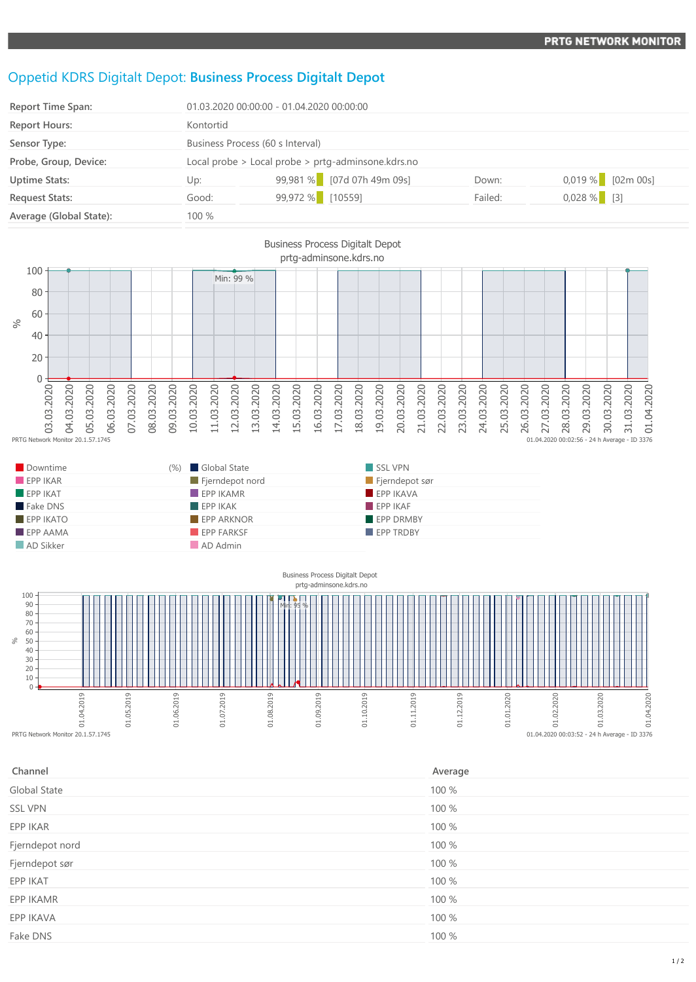## Oppetid KDRS Digitalt Depot: **Business Process Digitalt Depot**

| <b>Report Time Span:</b> | 01.03.2020 00:00:00 - 01.04.2020 00:00:00          |                            |         |                     |
|--------------------------|----------------------------------------------------|----------------------------|---------|---------------------|
| <b>Report Hours:</b>     | Kontortid                                          |                            |         |                     |
| Sensor Type:             | Business Process (60 s Interval)                   |                            |         |                     |
| Probe, Group, Device:    | Local probe > Local probe > prtg-adminsone.kdrs.no |                            |         |                     |
| <b>Uptime Stats:</b>     | Up:                                                | 99,981 % [07d 07h 49m 09s] | Down:   | $0.019\%$ [02m 00s] |
| <b>Request Stats:</b>    | Good:                                              | 99,972 % [10559]           | Failed: | $0,028%$ [3]        |
| Average (Global State):  | 100 %                                              |                            |         |                     |
|                          |                                                    |                            |         |                     |





| Channel         | Average |
|-----------------|---------|
| Global State    | 100 %   |
| <b>SSL VPN</b>  | 100 %   |
| EPP IKAR        | 100 %   |
| Fjerndepot nord | 100 %   |
| Fjerndepot sør  | 100 %   |
| EPP IKAT        | 100 %   |
| EPP IKAMR       | 100 %   |
| EPP IKAVA       | 100 %   |
| Fake DNS        | 100 %   |
|                 |         |